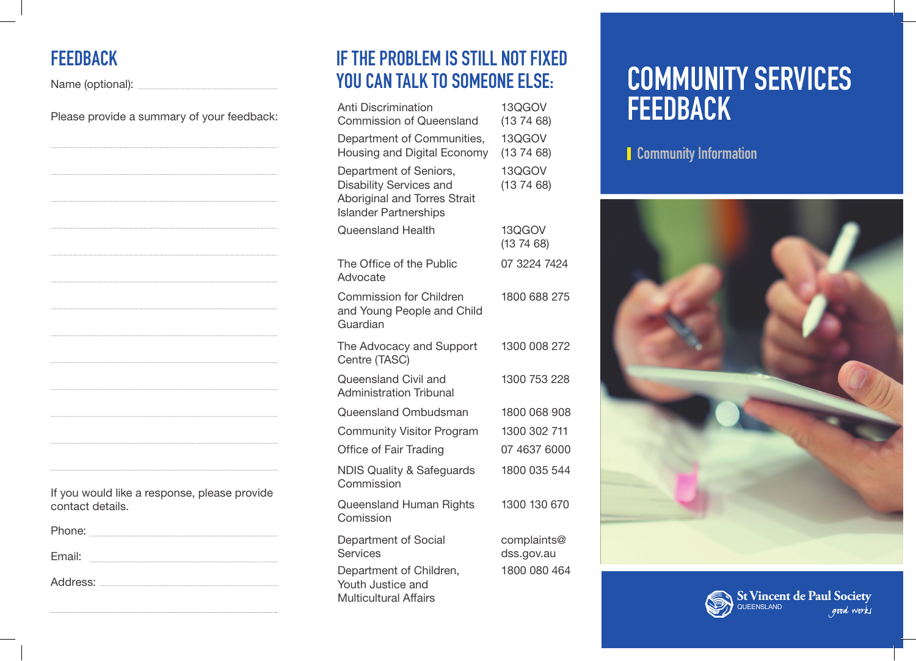### **FEEDBACK**

Name (optional): Washington Contract and Contract and Contract and Contract and Contract and Contract and Contract and Contract and Contract and Contract and Contract and Contract and Contract and Contract and Contract and

Please provide a summary of your feedback:

| If you would like a response, please provide |  |
|----------------------------------------------|--|
| contact details.                             |  |

Phone: Email:

Address:

### **IF THE PROBLEM IS STILL NOT FIXED YOU CAN TALK TO SOMEONE ELSE:**

| <b>Anti Discrimination</b><br><b>Commission of Queensland</b>                                                                   | 13QGOV<br>(137468)                        |
|---------------------------------------------------------------------------------------------------------------------------------|-------------------------------------------|
| Department of Communities,<br>Housing and Digital Economy                                                                       | 13QGOV<br>(137468)                        |
| Department of Seniors,<br><b>Disability Services and</b><br><b>Aboriginal and Torres Strait</b><br><b>Islander Partnerships</b> | 13QGOV<br>(137468)                        |
| Queensland Health                                                                                                               | 13QGOV<br>(13 74 68)                      |
| The Office of the Public<br>Advocate                                                                                            | 07 3224 7424                              |
| <b>Commission for Children</b><br>and Young People and Child<br>Guardian                                                        | 1800 688 275                              |
| The Advocacy and Support<br>Centre (TASC)                                                                                       | 1300 008 272                              |
| Queensland Civil and<br><b>Administration Tribunal</b>                                                                          | 1300 753 228                              |
| Queensland Ombudsman                                                                                                            | 1800 068 908                              |
| <b>Community Visitor Program</b>                                                                                                | 1300 302 711                              |
| Office of Fair Trading                                                                                                          | 07 4637 6000                              |
| <b>NDIS Quality &amp; Safeguards</b><br>Commission                                                                              | 1800 035 544                              |
| <b>Queensland Human Rights</b><br>Comission                                                                                     | 1300 130 670                              |
| Department of Social<br><b>Services</b><br>Department of Children,<br>Youth Justice and<br><b>Multicultural Affairs</b>         | complaints@<br>dss.gov.au<br>1800 080 464 |
|                                                                                                                                 |                                           |

# **COMMUNITY SERVICES FEEDBACK**

**Community Information**